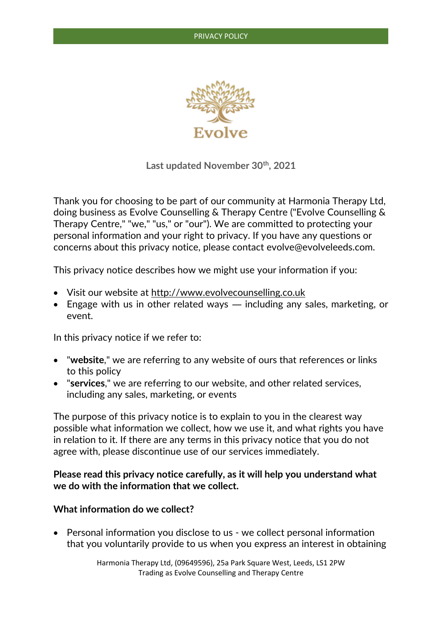

**Last updated November 30th, 2021**

Thank you for choosing to be part of our community at Harmonia Therapy Ltd, doing business as Evolve Counselling & Therapy Centre ("Evolve Counselling & Therapy Centre," "we," "us," or "our"). We are committed to protecting your personal information and your right to privacy. If you have any questions or concerns about this privacy notice, please contact evolve@evolveleeds.com.

This privacy notice describes how we might use your information if you:

- Visit our website at [http://www.evolvecounselling.co.uk](http://www.evolvecounselling.co.uk/)
- Engage with us in other related ways including any sales, marketing, or event.

In this privacy notice if we refer to:

- "**website**," we are referring to any website of ours that references or links to this policy
- "**services**," we are referring to our website, and other related services, including any sales, marketing, or events

The purpose of this privacy notice is to explain to you in the clearest way possible what information we collect, how we use it, and what rights you have in relation to it. If there are any terms in this privacy notice that you do not agree with, please discontinue use of our services immediately.

# **Please read this privacy notice carefully, as it will help you understand what we do with the information that we collect.**

#### **What information do we collect?**

• Personal information you disclose to us - we collect personal information that you voluntarily provide to us when you express an interest in obtaining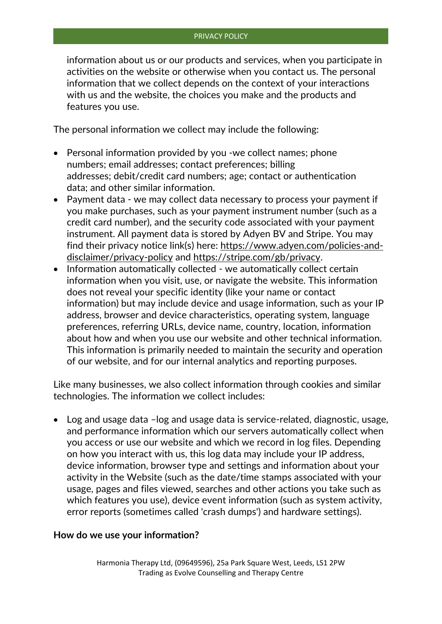information about us or our products and services, when you participate in activities on the website or otherwise when you contact us. The personal information that we collect depends on the context of your interactions with us and the website, the choices you make and the products and features you use.

The personal information we collect may include the following:

- Personal information provided by you -we collect names; phone numbers; email addresses; contact preferences; billing addresses; debit/credit card numbers; age; contact or authentication data; and other similar information.
- Payment data we may collect data necessary to process your payment if you make purchases, such as your payment instrument number (such as a credit card number), and the security code associated with your payment instrument. All payment data is stored by Adyen BV and Stripe. You may find their privacy notice link(s) here: [https://www.adyen.com/policies-and](https://www.adyen.com/policies-and-disclaimer/privacy-policy)[disclaimer/privacy-policy](https://www.adyen.com/policies-and-disclaimer/privacy-policy) and [https://stripe.com/gb/privacy.](https://stripe.com/gb/privacy)
- Information automatically collected we automatically collect certain information when you visit, use, or navigate the website. This information does not reveal your specific identity (like your name or contact information) but may include device and usage information, such as your IP address, browser and device characteristics, operating system, language preferences, referring URLs, device name, country, location, information about how and when you use our website and other technical information. This information is primarily needed to maintain the security and operation of our website, and for our internal analytics and reporting purposes.

Like many businesses, we also collect information through cookies and similar technologies. The information we collect includes:

• Log and usage data –log and usage data is service-related, diagnostic, usage, and performance information which our servers automatically collect when you access or use our website and which we record in log files. Depending on how you interact with us, this log data may include your IP address, device information, browser type and settings and information about your activity in the Website (such as the date/time stamps associated with your usage, pages and files viewed, searches and other actions you take such as which features you use), device event information (such as system activity, error reports (sometimes called 'crash dumps') and hardware settings).

### **How do we use your information?**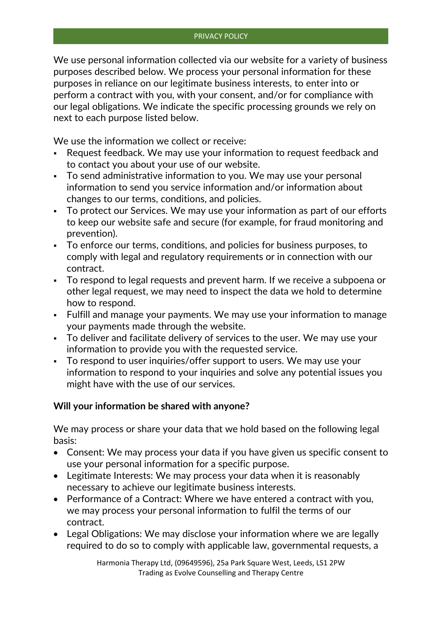We use personal information collected via our website for a variety of business purposes described below. We process your personal information for these purposes in reliance on our legitimate business interests, to enter into or perform a contract with you, with your consent, and/or for compliance with our legal obligations. We indicate the specific processing grounds we rely on next to each purpose listed below.

We use the information we collect or receive:

- Request feedback. We may use your information to request feedback and to contact you about your use of our website.
- To send administrative information to you. We may use your personal information to send you service information and/or information about changes to our terms, conditions, and policies.
- To protect our Services. We may use your information as part of our efforts to keep our website safe and secure (for example, for fraud monitoring and prevention).
- To enforce our terms, conditions, and policies for business purposes, to comply with legal and regulatory requirements or in connection with our contract.
- To respond to legal requests and prevent harm. If we receive a subpoena or other legal request, we may need to inspect the data we hold to determine how to respond.
- Fulfill and manage your payments. We may use your information to manage your payments made through the website.
- To deliver and facilitate delivery of services to the user. We may use your information to provide you with the requested service.
- To respond to user inquiries/offer support to users. We may use your information to respond to your inquiries and solve any potential issues you might have with the use of our services.

# **Will your information be shared with anyone?**

We may process or share your data that we hold based on the following legal basis:

- Consent: We may process your data if you have given us specific consent to use your personal information for a specific purpose.
- Legitimate Interests: We may process your data when it is reasonably necessary to achieve our legitimate business interests.
- Performance of a Contract: Where we have entered a contract with you, we may process your personal information to fulfil the terms of our contract.
- Legal Obligations: We may disclose your information where we are legally required to do so to comply with applicable law, governmental requests, a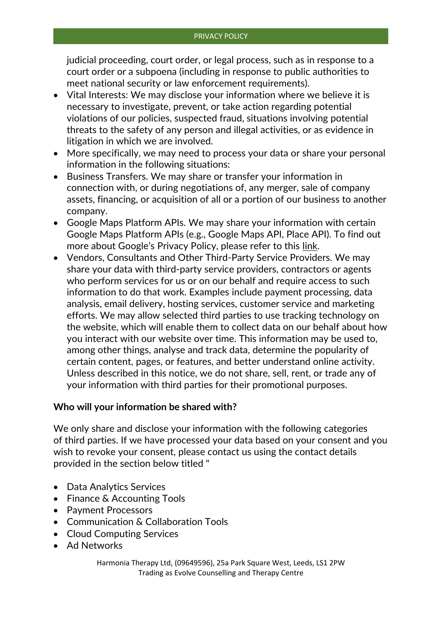judicial proceeding, court order, or legal process, such as in response to a court order or a subpoena (including in response to public authorities to meet national security or law enforcement requirements).

- Vital Interests: We may disclose your information where we believe it is necessary to investigate, prevent, or take action regarding potential violations of our policies, suspected fraud, situations involving potential threats to the safety of any person and illegal activities, or as evidence in litigation in which we are involved.
- More specifically, we may need to process your data or share your personal information in the following situations:
- Business Transfers. We may share or transfer your information in connection with, or during negotiations of, any merger, sale of company assets, financing, or acquisition of all or a portion of our business to another company.
- Google Maps Platform APIs. We may share your information with certain Google Maps Platform APIs (e.g., Google Maps API, Place API). To find out more about Google's Privacy Policy, please refer to this [link.](https://policies.google.com/privacy)
- Vendors, Consultants and Other Third-Party Service Providers. We may share your data with third-party service providers, contractors or agents who perform services for us or on our behalf and require access to such information to do that work. Examples include payment processing, data analysis, email delivery, hosting services, customer service and marketing efforts. We may allow selected third parties to use tracking technology on the website, which will enable them to collect data on our behalf about how you interact with our website over time. This information may be used to, among other things, analyse and track data, determine the popularity of certain content, pages, or features, and better understand online activity. Unless described in this notice, we do not share, sell, rent, or trade any of your information with third parties for their promotional purposes.

### **Who will your information be shared with?**

We only share and disclose your information with the following categories of third parties. If we have processed your data based on your consent and you wish to revoke your consent, please contact us using the contact details provided in the section below titled "

- Data Analytics Services
- Finance & Accounting Tools
- Payment Processors
- Communication & Collaboration Tools
- Cloud Computing Services
- Ad Networks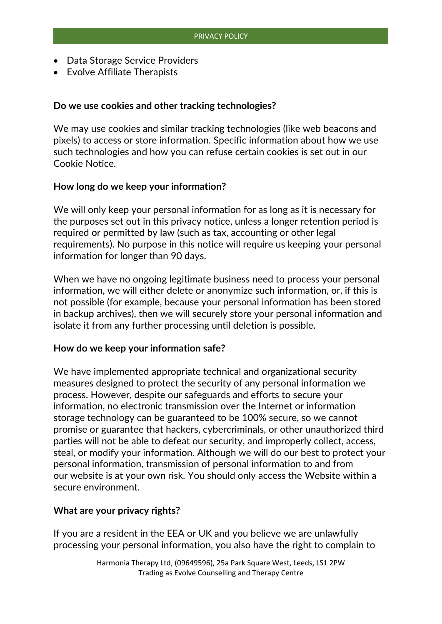- Data Storage Service Providers
- Evolve Affiliate Therapists

### **Do we use cookies and other tracking technologies?**

We may use cookies and similar tracking technologies (like web beacons and pixels) to access or store information. Specific information about how we use such technologies and how you can refuse certain cookies is set out in our Cookie Notice.

### **How long do we keep your information?**

We will only keep your personal information for as long as it is necessary for the purposes set out in this privacy notice, unless a longer retention period is required or permitted by law (such as tax, accounting or other legal requirements). No purpose in this notice will require us keeping your personal information for longer than 90 days.

When we have no ongoing legitimate business need to process your personal information, we will either delete or anonymize such information, or, if this is not possible (for example, because your personal information has been stored in backup archives), then we will securely store your personal information and isolate it from any further processing until deletion is possible.

#### **How do we keep your information safe?**

We have implemented appropriate technical and organizational security measures designed to protect the security of any personal information we process. However, despite our safeguards and efforts to secure your information, no electronic transmission over the Internet or information storage technology can be guaranteed to be 100% secure, so we cannot promise or guarantee that hackers, cybercriminals, or other unauthorized third parties will not be able to defeat our security, and improperly collect, access, steal, or modify your information. Although we will do our best to protect your personal information, transmission of personal information to and from our website is at your own risk. You should only access the Website within a secure environment.

#### **What are your privacy rights?**

If you are a resident in the EEA or UK and you believe we are unlawfully processing your personal information, you also have the right to complain to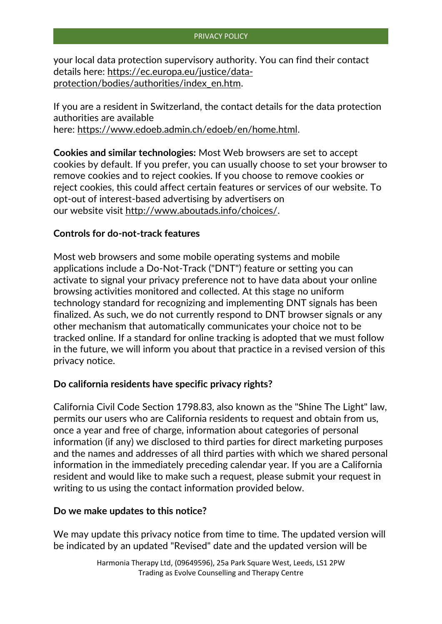your local data protection supervisory authority. You can find their contact details here: [https://ec.europa.eu/justice/data](https://ec.europa.eu/justice/data-protection/bodies/authorities/index_en.htm)[protection/bodies/authorities/index\\_en.htm.](https://ec.europa.eu/justice/data-protection/bodies/authorities/index_en.htm)

If you are a resident in Switzerland, the contact details for the data protection authorities are available here: [https://www.edoeb.admin.ch/edoeb/en/home.html.](https://www.edoeb.admin.ch/edoeb/en/home.html)

**Cookies and similar technologies:** Most Web browsers are set to accept cookies by default. If you prefer, you can usually choose to set your browser to remove cookies and to reject cookies. If you choose to remove cookies or reject cookies, this could affect certain features or services of our website. To opt-out of interest-based advertising by advertisers on our website visit [http://www.aboutads.info/choices/.](http://www.aboutads.info/choices/)

# **Controls for do-not-track features**

Most web browsers and some mobile operating systems and mobile applications include a Do-Not-Track ("DNT") feature or setting you can activate to signal your privacy preference not to have data about your online browsing activities monitored and collected. At this stage no uniform technology standard for recognizing and implementing DNT signals has been finalized. As such, we do not currently respond to DNT browser signals or any other mechanism that automatically communicates your choice not to be tracked online. If a standard for online tracking is adopted that we must follow in the future, we will inform you about that practice in a revised version of this privacy notice.

### **Do california residents have specific privacy rights?**

California Civil Code Section 1798.83, also known as the "Shine The Light" law, permits our users who are California residents to request and obtain from us, once a year and free of charge, information about categories of personal information (if any) we disclosed to third parties for direct marketing purposes and the names and addresses of all third parties with which we shared personal information in the immediately preceding calendar year. If you are a California resident and would like to make such a request, please submit your request in writing to us using the contact information provided below.

### **Do we make updates to this notice?**

We may update this privacy notice from time to time. The updated version will be indicated by an updated "Revised" date and the updated version will be